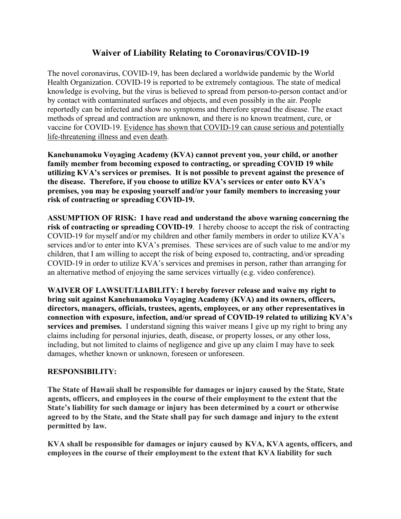## **Waiver of Liability Relating to Coronavirus/COVID-19**

The novel coronavirus, COVID-19, has been declared a worldwide pandemic by the World Health Organization. COVID-19 is reported to be extremely contagious. The state of medical knowledge is evolving, but the virus is believed to spread from person-to-person contact and/or by contact with contaminated surfaces and objects, and even possibly in the air. People reportedly can be infected and show no symptoms and therefore spread the disease. The exact methods of spread and contraction are unknown, and there is no known treatment, cure, or vaccine for COVID-19. Evidence has shown that COVID-19 can cause serious and potentially life-threatening illness and even death.

**Kanehunamoku Voyaging Academy (KVA) cannot prevent you, your child, or another family member from becoming exposed to contracting, or spreading COVID 19 while utilizing KVA's services or premises. It is not possible to prevent against the presence of the disease. Therefore, if you choose to utilize KVA's services or enter onto KVA's premises, you may be exposing yourself and/or your family members to increasing your risk of contracting or spreading COVID-19.** 

**ASSUMPTION OF RISK: I have read and understand the above warning concerning the risk of contracting or spreading COVID-19**. I hereby choose to accept the risk of contracting COVID-19 for myself and/or my children and other family members in order to utilize KVA's services and/or to enter into KVA's premises. These services are of such value to me and/or my children, that I am willing to accept the risk of being exposed to, contracting, and/or spreading COVID-19 in order to utilize KVA's services and premises in person, rather than arranging for an alternative method of enjoying the same services virtually (e.g. video conference).

**WAIVER OF LAWSUIT/LIABILITY: I hereby forever release and waive my right to bring suit against Kanehunamoku Voyaging Academy (KVA) and its owners, officers, directors, managers, officials, trustees, agents, employees, or any other representatives in connection with exposure, infection, and/or spread of COVID-19 related to utilizing KVA's services and premises.** I understand signing this waiver means I give up my right to bring any claims including for personal injuries, death, disease, or property losses, or any other loss, including, but not limited to claims of negligence and give up any claim I may have to seek damages, whether known or unknown, foreseen or unforeseen.

## **RESPONSIBILITY:**

**The State of Hawaii shall be responsible for damages or injury caused by the State, State agents, officers, and employees in the course of their employment to the extent that the State's liability for such damage or injury has been determined by a court or otherwise agreed to by the State, and the State shall pay for such damage and injury to the extent permitted by law.**

**KVA shall be responsible for damages or injury caused by KVA, KVA agents, officers, and employees in the course of their employment to the extent that KVA liability for such**